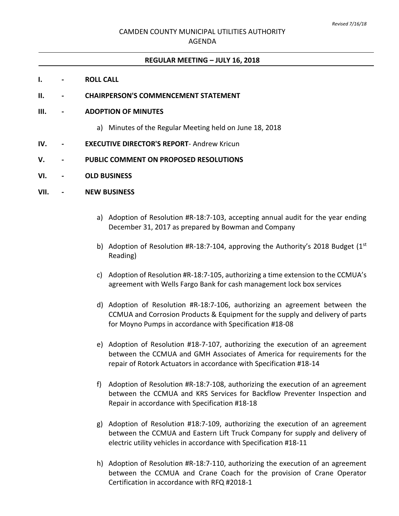#### **REGULAR MEETING – JULY 16, 2018**

#### **I. - ROLL CALL**

**II. - CHAIRPERSON'S COMMENCEMENT STATEMENT**

#### **III. - ADOPTION OF MINUTES**

- a) Minutes of the Regular Meeting held on June 18, 2018
- **IV. - EXECUTIVE DIRECTOR'S REPORT** Andrew Kricun

## **V. - PUBLIC COMMENT ON PROPOSED RESOLUTIONS**

**VI. - OLD BUSINESS**

## **VII. - NEW BUSINESS**

- a) Adoption of Resolution #R-18:7-103, accepting annual audit for the year ending December 31, 2017 as prepared by Bowman and Company
- b) Adoption of Resolution #R-18:7-104, approving the Authority's 2018 Budget  $(1^{st}$ Reading)
- c) Adoption of Resolution #R-18:7-105, authorizing a time extension to the CCMUA's agreement with Wells Fargo Bank for cash management lock box services
- d) Adoption of Resolution #R-18:7-106, authorizing an agreement between the CCMUA and Corrosion Products & Equipment for the supply and delivery of parts for Moyno Pumps in accordance with Specification #18-08
- e) Adoption of Resolution #18-7-107, authorizing the execution of an agreement between the CCMUA and GMH Associates of America for requirements for the repair of Rotork Actuators in accordance with Specification #18-14
- f) Adoption of Resolution #R-18:7-108, authorizing the execution of an agreement between the CCMUA and KRS Services for Backflow Preventer Inspection and Repair in accordance with Specification #18-18
- g) Adoption of Resolution #18:7-109, authorizing the execution of an agreement between the CCMUA and Eastern Lift Truck Company for supply and delivery of electric utility vehicles in accordance with Specification #18-11
- h) Adoption of Resolution #R-18:7-110, authorizing the execution of an agreement between the CCMUA and Crane Coach for the provision of Crane Operator Certification in accordance with RFQ #2018-1